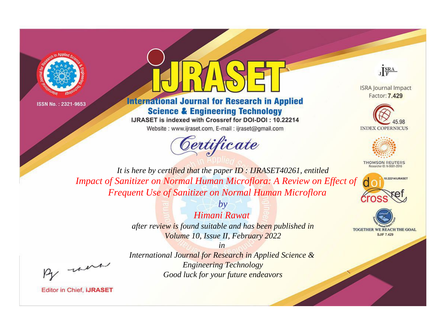

ISSN No.: 2321-9653



## **International Journal for Research in Applied Science & Engineering Technology**

IJRASET is indexed with Crossref for DOI-DOI: 10.22214

Website: www.ijraset.com, E-mail: ijraset@gmail.com





**ISRA Journal Impact** Factor: 7,429





**THOMSON REUTERS** 



TOGETHER WE REACH THE GOAL **SJIF 7.429** 

*It is here by certified that the paper ID : IJRASET40261, entitled* **Impact of Sanitizer on Normal Human Microflora: A Review on Effect of** *Frequent Use of Sanitizer on Normal Human Microflora*

> *by Himani Rawat after review is found suitable and has been published in Volume 10, Issue II, February 2022*

, un

*International Journal for Research in Applied Science & Engineering Technology Good luck for your future endeavors*

*in* 

**Editor in Chief, IJRASET**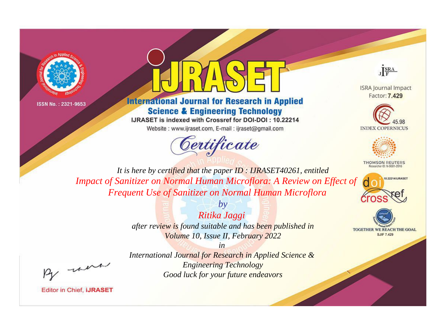

ISSN No.: 2321-9653



## **International Journal for Research in Applied Science & Engineering Technology**

IJRASET is indexed with Crossref for DOI-DOI: 10.22214

Website: www.ijraset.com, E-mail: ijraset@gmail.com





**ISRA Journal Impact** Factor: 7,429





**THOMSON REUTERS** 



TOGETHER WE REACH THE GOAL **SJIF 7.429** 

*It is here by certified that the paper ID : IJRASET40261, entitled* **Impact of Sanitizer on Normal Human Microflora: A Review on Effect of** *Frequent Use of Sanitizer on Normal Human Microflora*

> *Ritika Jaggi after review is found suitable and has been published in Volume 10, Issue II, February 2022*

> > *in*

*by*

were

*International Journal for Research in Applied Science & Engineering Technology Good luck for your future endeavors*

**Editor in Chief, IJRASET**